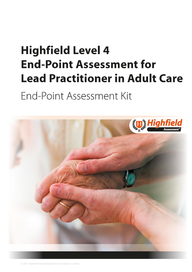# <span id="page-0-1"></span><span id="page-0-0"></span>**Highfield Level 4 End-Point Assessment for Lead Practitioner in Adult Care**

End-Point Assessment Kit

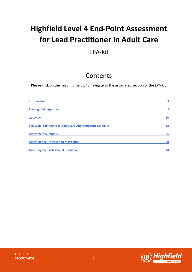# **Highfield Level 4 End-Point Assessment for Lead Practitioner in Adult Care**

# EPA-Kit

# Contents

Please click on the headings below to navigate to the associated section of the EPA kit.

| <b>Introduction</b>                                         | 5  |
|-------------------------------------------------------------|----|
| <b>The Highfield Approach</b>                               | 8  |
| Gateway                                                     | 10 |
| The Lead Practitioner in Adult Care Apprenticeship Standard | 13 |
| <b>Assessment Summary</b>                                   | 36 |
| <b>Assessing the Observation of Practice</b>                | 38 |
| <b>Assessing the Professional Discussion</b>                | 44 |

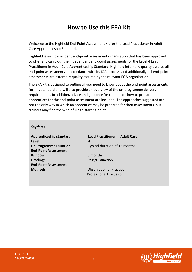# **How to Use this EPA Kit**

Welcome to the Highfield End-Point Assessment Kit for the Lead Practitioner in Adult Care Apprenticeship Standard.

Highfield is an independent end-point assessment organisation that has been approved to offer and carry out the independent end-point assessments for the Level 4 Lead Practitioner in Adult Care Apprenticeship Standard. Highfield internally quality assures all end-point assessments in accordance with its IQA process, and additionally, all end-point assessments are externally quality assured by the relevant EQA organisation.

The EPA kit is designed to outline all you need to know about the end-point assessments for this standard and will also provide an overview of the on-programme delivery requirements. In addition**,** advice and guidance for trainers on how to prepare apprentices for the end-point assessment are included. The approaches suggested are not the only way in which an apprentice may be prepared for their assessments, but trainers may find them helpful as a starting point.

#### **Key facts**

**Level:** 4 **End-Point Assessment Window:** 3 months **Grading: Pass/Distinction End-Point Assessment Methods Construction Construction Observation of Practice** 

**Apprenticeship standard: Lead Practitioner in Adult Care On Programme Duration:** Typical duration of 18 months

Professional Discussion

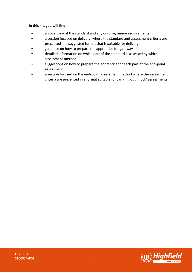#### **In this kit, you will find:**

- an overview of the standard and any on-programme requirements
- a section focused on delivery, where the standard and assessment criteria are presented in a suggested format that is suitable for delivery
- guidance on how to prepare the apprentice for gateway
- detailed information on which part of the standard is assessed by which assessment method
- suggestions on how to prepare the apprentice for each part of the end-point assessment
- a section focused on the end-point assessment method where the assessment criteria are presented in a format suitable for carrying out 'mock' assessments

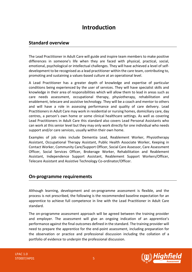# **Introduction**

### <span id="page-4-0"></span>**Standard overview**

The Lead Practitioner in Adult Care will guide and inspire team members to make positive differences in someone's life when they are faced with physical, practical, social, emotional, psychological or intellectual challenges. They will have achieved a level of selfdevelopment to be recognised as a lead practitioner within the care team, contributing to, promoting and sustaining a values-based culture at an operational level.

A Lead Practitioner has a greater depth of knowledge and expertise of particular conditions being experienced by the user of services. They will have specialist skills and knowledge in their area of responsibilities which will allow them to lead in areas such as care needs assessment, occupational therapy, physiotherapy, rehabilitation and enablement, telecare and assistive technology. They will be a coach and mentor to others and will have a role in assessing performance and quality of care delivery. Lead Practitioners in Adult Care may work in residential or nursing homes, domiciliary care, day centres, a person's own home or some clinical healthcare settings. As well as covering Lead Practitioners in Adult Care this standard also covers Lead Personal Assistants who can work at this senior level but they may only work directly for one individual who needs support and/or care services, usually within their own home.

Examples of job roles include Dementia Lead, Reablement Worker, Physiotherapy Assistant, Occupational Therapy Assistant, Public Health Associate Worker, Keeping in Contact Worker, Community Care/Support Officer, Social Care Assessor, Care Assessment Officer, Social Services Officer, Brokerage Worker, Rehabilitation and Reablement Assistant, Independence Support Assistant, Reablement Support Workers/Officer, Telecare Assistant and Assistive Technology Co-ordinator/Officer.

### **On-programme requirements**

Although learning, development and on-programme assessment is flexible, and the process is not prescribed, the following is the recommended baseline expectation for an apprentice to achieve full competence in line with the Lead Practitioner in Adult Care standard.

The on-programme assessment approach will be agreed between the training provider and employer. The assessment will give an ongoing indication of an apprentice's performance against the final outcomes defined in the standard. The training provider will need to prepare the apprentice for the end-point assessment, including preparation for the observation or practice and professional discussion including the collation of a portfolio of evidence to underpin the professional discussion.

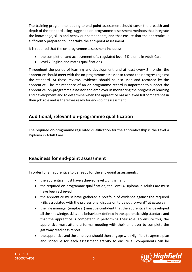The training programme leading to end-point assessment should cover the breadth and depth of the standard using suggested on-programme assessment methods that integrate the knowledge, skills and behaviour components, and that ensure that the apprentice is sufficiently prepared to undertake the end-point assessment.

It is required that the on-programme assessment includes:

- the completion and achievement of a regulated level 4 Diploma in Adult Care
- level 2 English and maths qualifications

Throughout the period of learning and development, and at least every 2 months, the apprentice should meet with the on-programme assessor to record their progress against the standard. At these reviews, evidence should be discussed and recorded by the apprentice. The maintenance of an on-programme record is important to support the apprentice, on-programme assessor and employer in monitoring the progress of learning and development and to determine when the apprentice has achieved full competence in their job role and is therefore ready for end-point assessment.

### **Additional, relevant on-programme qualification**

The required on-programme regulated qualification for the apprenticeship is the Level 4 Diploma in Adult Care.

### **Readiness for end-point assessment**

In order for an apprentice to be ready for the end-point assessments:

- the apprentice must have achieved level 2 English and
- the required on-programme qualification, the Level 4 Diploma in Adult Care must have been achieved
- the apprentice must have gathered a portfolio of evidence against the required KSBs associated with the professional discussion to be put forward\* at gateway
- the line manager (employer) must be confident that the apprentice has developed all the knowledge, skills and behaviours defined in the apprenticeship standard and that the apprentice is competent in performing their role. To ensure this, the apprentice must attend a formal meeting with their employer to complete the gateway readiness report.
- the apprentice and the employer should then engage with Highfield to agree a plan and schedule for each assessment activity to ensure all components can be

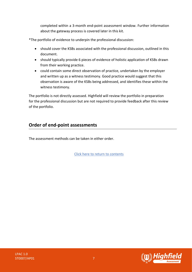completed within a 3-month end-point assessment window. Further information about the gateway process is covered later in this kit.

\*The portfolio of evidence to underpin the professional discussion:

- should cover the KSBs associated with the professional discussion, outlined in this document.
- should typically provide 6 pieces of evidence of holistic application of KSBs drawn from their working practice.
- could contain some direct observation of practice, undertaken by the employer and written up as a witness testimony. Good practice would suggest that this observation is aware of the KSBs being addressed, and identifies these within the witness testimony.

The portfolio is not directly assessed. Highfield will review the portfolio in preparation for the professional discussion but are not required to provide feedback after this review of the portfolio.

# **Order of end-point assessments**

The assessment methods can be taken in either order.

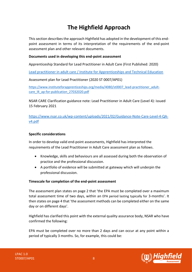# **The Highfield Approach**

<span id="page-7-0"></span>This section describes the approach Highfield has adopted in the development of this endpoint assessment in terms of its interpretation of the requirements of the end-point assessment plan and other relevant documents.

#### **Documents used in developing this end-point assessment**

Apprenticeship Standard for Lead Practitioner in Adult Care (First Published: 2020)

[Lead practitioner in adult care / Institute for Apprenticeships and Technical Education](https://www.instituteforapprenticeships.org/apprenticeship-standards/lead-practitioner-in-adult-care-v1-0)

Assessment plan for Lead Practitioner (2020 ST 0007/AP01)

[https://www.instituteforapprenticeships.org/media/4080/st0007\\_lead-practitioner\\_adult](https://www.instituteforapprenticeships.org/media/4080/st0007_lead-practitioner_adult-care_l4_ap-for-publication_27032020.pdf)care l4 ap-for-publication 27032020.pdf

NSAR CARE Clarification guidance note: Lead Practitioner in Adult Care (Level 4): issued 15 February 2021

[https://www.nsar.co.uk/wp-content/uploads/2021/02/Guidance-Note-Care-Level-4-QA](https://www.nsar.co.uk/wp-content/uploads/2021/02/Guidance-Note-Care-Level-4-QA-v4.pdf)[v4.pdf](https://www.nsar.co.uk/wp-content/uploads/2021/02/Guidance-Note-Care-Level-4-QA-v4.pdf)

#### **Specific considerations**

In order to develop valid end-point assessments, Highfield has interpreted the requirements of the Lead Practitioner in Adult Care assessment plan as follows.

- Knowledge, skills and behaviours are all assessed during both the observation of practice and the professional discussion.
- A portfolio of evidence will be submitted at gateway which will underpin the professional discussion.

#### **Timescale for completion of the end-point assessment**

The assessment plan states on page 2 that 'the EPA must be completed over a maximum total assessment time of two days, within an EPA period lasting typically for 3-months'. It then states on page 4 that 'the assessment methods can be completed either on the same day or on different days'.

Highfield has clarified this point with the external quality assurance body, NSAR who have confirmed the following:

EPA must be completed over no more than 2 days and can occur at any point within a period of typically 3 months. So, for example, this could be:

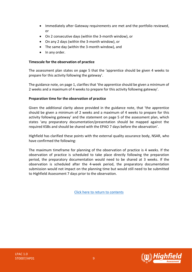- Immediately after Gateway requirements are met and the portfolio reviewed, or
- On 2 consecutive days (within the 3-month window), or
- On any 2 days (within the 3-month window), or
- The same day (within the 3-month window), and
- In any order.

#### **Timescale for the observation of practice**

The assessment plan states on page 5 that the 'apprentice should be given 4 weeks to prepare for this activity following the gateway'.

The guidance note, on page 1, clarifies that 'the apprentice should be given a minimum of 2 weeks and a maximum of 4 weeks to prepare for this activity following gateway'.

#### **Preparation time for the observation of practice**

Given the additional clarity above provided in the guidance note, that 'the apprentice should be given a minimum of 2 weeks and a maximum of 4 weeks to prepare for this activity following gateway' and the statement on page 5 of the assessment plan, which states 'any preparatory documentation/presentation should be mapped against the required KSBs and should be shared with the EPAO 7 days before the observation'.

Highfield has clarified these points with the external quality assurance body, NSAR, who have confirmed the following:

The maximum timeframe for planning of the observation of practice is 4 weeks. If the observation of practice is scheduled to take place directly following the preparation period, the preparatory documentation would need to be shared at 3 weeks. If the observation is scheduled after the 4-week period, the preparatory documentation submission would not impact on the planning time but would still need to be submitted to Highfield Assessment 7 days prior to the observation.

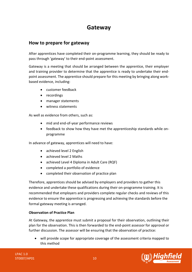# **Gateway**

# <span id="page-9-0"></span>**How to prepare for gateway**

After apprentices have completed their on-programme learning, they should be ready to pass through 'gateway' to their end-point assessment.

Gateway is a meeting that should be arranged between the apprentice, their employer and training provider to determine that the apprentice is ready to undertake their endpoint assessment. The apprentice should prepare for this meeting by bringing along workbased evidence, including:

- customer feedback
- recordings
- manager statements
- witness statements

As well as evidence from others, such as:

- mid and end-of-year performance reviews
- feedback to show how they have met the apprenticeship standards while onprogramme

In advance of gateway, apprentices will need to have:

- achieved level 2 English
- achieved level 2 Maths
- achieved Level 4 Diploma in Adult Care (RQF)
- completed a portfolio of evidence
- completed their observation of practice plan

Therefore, apprentices should be advised by employers and providers to gather this evidence and undertake these qualifications during their on-programme training. It is recommended that employers and providers complete regular checks and reviews of this evidence to ensure the apprentice is progressing and achieving the standards before the formal gateway meeting is arranged.

#### **Observation of Practice Plan**

At Gateway, the apprentice must submit a proposal for their observation, outlining their plan for the observation. This is then forwarded to the end-point assessor for approval or further discussion. The assessor will be ensuring that the observation of practice:

will provide scope for appropriate coverage of the assessment criteria mapped to this method

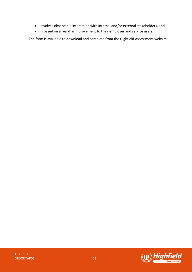- involves observable interaction with internal and/or external stakeholders, and
- is based on a real-life improvement to their employer and service users.

The form is available to download and complete from the Highfield Assessment website.

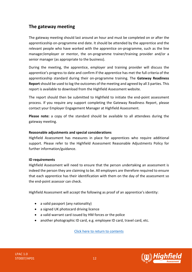# **The gateway meeting**

The gateway meeting should last around an hour and must be completed on or after the apprenticeship on-programme end date. It should be attended by the apprentice and the relevant people who have worked with the apprentice on-programme, such as the line manager/employer or mentor, the on-programme trainer/training provider and/or a senior manager (as appropriate to the business).

During the meeting, the apprentice, employer and training provider will discuss the apprentice's progress to date and confirm if the apprentice has met the full criteria of the apprenticeship standard during their on-programme training. The **Gateway Readiness Report** should be used to log the outcomes of the meeting and agreed by all 3 parties. This report is available to download from the Highfield Assessment website.

The report should then be submitted to Highfield to initiate the end-point assessment process. If you require any support completing the Gateway Readiness Report, please contact your Employer Engagement Manager at Highfield Assessment.

**Please note:** a copy of the standard should be available to all attendees during the gateway meeting.

#### **Reasonable adjustments and special considerations**

Highfield Assessment has measures in place for apprentices who require additional support. Please refer to the Highfield Assessment Reasonable Adjustments Policy for further information/guidance.

#### **ID requirements**

Highfield Assessment will need to ensure that the person undertaking an assessment is indeed the person they are claiming to be. All employers are therefore required to ensure that each apprentice has their identification with them on the day of the assessment so the end-point assessor can check.

Highfield Assessment will accept the following as proof of an apprentice's identity:

- a valid passport (any nationality)
- a signed UK photocard driving licence
- a valid warrant card issued by HM forces or the police
- another photographic ID card, e.g. employee ID card, travel card, etc.



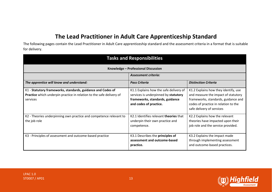# **The Lead Practitioner in Adult Care Apprenticeship Standard**

The following pages contain the Lead Practitioner in Adult Care apprenticeship standard and the assessment criteria in a format that is suitable for delivery.

<span id="page-12-0"></span>

| <b>Tasks and Responsibilities</b>                                                                                                               |                                                                                                                                             |                                                                                                                                                                                         |
|-------------------------------------------------------------------------------------------------------------------------------------------------|---------------------------------------------------------------------------------------------------------------------------------------------|-----------------------------------------------------------------------------------------------------------------------------------------------------------------------------------------|
|                                                                                                                                                 | Knowledge - Professional Discussion                                                                                                         |                                                                                                                                                                                         |
|                                                                                                                                                 | <b>Assessment criteria:</b>                                                                                                                 |                                                                                                                                                                                         |
| The apprentice will know and understand:                                                                                                        | <b>Pass Criteria</b>                                                                                                                        | <b>Distinction Criteria</b>                                                                                                                                                             |
| K1 - Statutory frameworks, standards, guidance and Codes of<br>Practice which underpin practice in relation to the safe delivery of<br>services | K1.1 Explains how the safe delivery of<br>services is underpinned by statutory<br>frameworks, standards, guidance<br>and codes of practice. | K1.2 Explains how they identify, use<br>and measure the impact of statutory<br>frameworks, standards, guidance and<br>codes of practice in relation to the<br>safe delivery of services |
| K2 - Theories underpinning own practice and competence relevant to<br>the job role                                                              | K2.1 Identifies relevant theories that<br>underpin their own practice and<br>competence.                                                    | K2.2 Explains how the relevant<br>theories have impacted upon their<br>job role and the service provided.                                                                               |
| K3 - Principles of assessment and outcome-based practice                                                                                        | K3.1 Describes the principles of<br>assessment and outcome-based<br>practice.                                                               | K3.2 Explains the impact made<br>through implementing assessment<br>and outcome-based practices.                                                                                        |

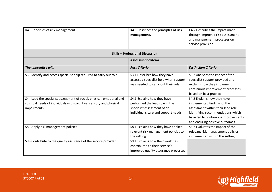| K4 - Principles of risk management                                                                                                                                                                                                  | K4.1 Describes the principles of risk<br>management.                                                                                                                                                                                                 | K4.2 Describes the impact made<br>through improved risk assessment<br>and management processes on<br>service provision.                                                                                                                                                                                                                          |
|-------------------------------------------------------------------------------------------------------------------------------------------------------------------------------------------------------------------------------------|------------------------------------------------------------------------------------------------------------------------------------------------------------------------------------------------------------------------------------------------------|--------------------------------------------------------------------------------------------------------------------------------------------------------------------------------------------------------------------------------------------------------------------------------------------------------------------------------------------------|
|                                                                                                                                                                                                                                     | <b>Skills - Professional Discussion</b>                                                                                                                                                                                                              |                                                                                                                                                                                                                                                                                                                                                  |
|                                                                                                                                                                                                                                     | <b>Assessment criteria</b>                                                                                                                                                                                                                           |                                                                                                                                                                                                                                                                                                                                                  |
| The apprentice will:                                                                                                                                                                                                                | <b>Pass Criteria</b>                                                                                                                                                                                                                                 | <b>Distinction Criteria</b>                                                                                                                                                                                                                                                                                                                      |
| S3 - Identify and access specialist help required to carry out role<br>S4 - Lead the specialist assessment of social, physical, emotional and<br>spiritual needs of individuals with cognitive, sensory and physical<br>impairments | S3.1 Describes how they have<br>accessed specialist help when support<br>was needed to carry out their role.<br>S4.1 Explains how they have<br>performed the lead role in the<br>specialist assessment of an<br>individual's care and support needs. | S3.2 Analyses the impact of the<br>specialist support provided and<br>explains how they implement<br>continuous improvement processes<br>based on best practice.<br>S4.2 Explains how they have<br>implemented findings of the<br>assessment within their lead role,<br>identifying recommendations which<br>have led to continuous improvements |
| S8 - Apply risk management policies                                                                                                                                                                                                 | S8.1 Explains how they have applied<br>relevant risk management policies to<br>the setting.                                                                                                                                                          | and ensuring positive outcomes.<br>S8.2 Evaluates the impact of the<br>relevant risk management policies<br>implemented within the setting.                                                                                                                                                                                                      |
| S9 - Contribute to the quality assurance of the service provided                                                                                                                                                                    | S9.1 Explains how their work has<br>contributed to their service's<br>improved quality assurance processes                                                                                                                                           |                                                                                                                                                                                                                                                                                                                                                  |

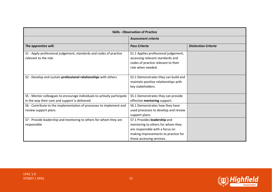| <b>Skills - Observation of Practice</b>                                                                                   |                                                                                                                                                                          |                             |
|---------------------------------------------------------------------------------------------------------------------------|--------------------------------------------------------------------------------------------------------------------------------------------------------------------------|-----------------------------|
|                                                                                                                           | <b>Assessment criteria</b>                                                                                                                                               |                             |
| The apprentice will:                                                                                                      | <b>Pass Criteria</b>                                                                                                                                                     | <b>Distinction Criteria</b> |
| S1 - Apply professional judgement, standards and codes of practice<br>relevant to the role                                | S1.1 Applies professional judgement,<br>accessing relevant standards and<br>codes of practice relevant to their<br>role when needed.                                     |                             |
| S2 - Develop and sustain professional relationships with others                                                           | S2.1 Demonstrates they can build and<br>maintain positive relationships with<br>key stakeholders.                                                                        |                             |
| S5 - Mentor colleagues to encourage individuals to actively participate<br>in the way their care and support is delivered | S5.1 Demonstrates they can provide<br>effective mentoring support.                                                                                                       |                             |
| S6 - Contribute to the implementation of processes to implement and<br>review support plans                               | S6.1 Demonstrates how they have<br>used processes to develop and review<br>support plans.                                                                                |                             |
| S7 - Provide leadership and mentoring to others for whom they are<br>responsible                                          | S7.1 Provides leadership and<br>mentoring to others for whom they<br>are responsible with a focus on<br>making improvements to practice for<br>those accessing services. |                             |

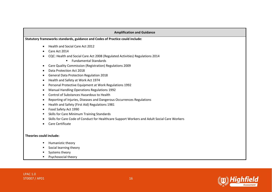#### **Amplification and Guidance**

**Statutory frameworks standards, guidance and Codes of Practice could include:**

- Health and Social Care Act 2012
- Care Act 2014
- CQC: Health and Social Care Act 2008 (Regulated Activities) Regulations 2014
	- Fundamental Standards
- Care Quality Commission (Registration) Regulations 2009
- Data Protection Act 2018
- General Data Protection Regulation 2018
- Health and Safety at Work Act 1974
- Personal Protective Equipment at Work Regulations 1992
- Manual Handling Operations Regulations 1992
- Control of Substances Hazardous to Health
- Reporting of Injuries, Diseases and Dangerous Occurrences Regulations
- Health and Safety (First Aid) Regulations 1981
- Food Safety Act 1990
- Skills for Care Minimum Training Standards
- Skills for Care Code of Conduct for Healthcare Support Workers and Adult Social Care Workers
- Care Certificate

#### **Theories could include:**

- Humanistic theory
- Social learning theory
- Systems theory
- Psychosocial theory

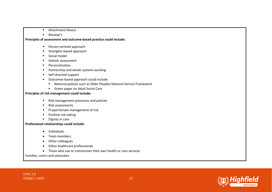- Attachment theory
- Maslow's

#### **Principles of assessment and outcome-based practice could include:**

- Person-centred approach
- Strengths-based approach
- Social model
- Holistic assessment
- Personalisation
- Partnership and whole systems working
- Self-directed support
- Outcomes-based approach could include:
	- National policies such as Older Peoples National Service Framework
	- Green paper on Adult Social Care

#### **Principles of risk management could include:**

- Risk management processes and policies
- Risk assessments
- Proportionate management of risk
- Positive risk-taking
- Dignity in care

#### **Professional relationships could include:**

- Individuals
- Team members
- Other colleagues
- Other healthcare professionals
- Those who use or commission their own health or care services

Families, carers and advocates

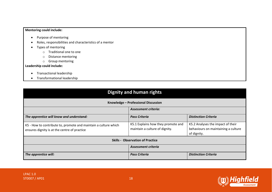#### **Mentoring could include:**

- Purpose of mentoring
- Roles, responsibilities and characteristics of a mentor
- Types of mentoring
	- o Traditional one to one
	- o Distance mentoring
	- o Group mentoring

#### **Leadership could include:**

- Transactional leadership
- Transformational leadership

| Dignity and human rights                                                                                        |                                                                      |                                                                                         |
|-----------------------------------------------------------------------------------------------------------------|----------------------------------------------------------------------|-----------------------------------------------------------------------------------------|
| Knowledge - Professional Discussion                                                                             |                                                                      |                                                                                         |
| <b>Assessment criteria:</b>                                                                                     |                                                                      |                                                                                         |
| The apprentice will know and understand:                                                                        | <b>Pass Criteria</b>                                                 | <b>Distinction Criteria</b>                                                             |
| K5 - How to contribute to, promote and maintain a culture which<br>ensures dignity is at the centre of practice | K5.1 Explains how they promote and<br>maintain a culture of dignity. | K5.2 Analyses the impact of their<br>behaviours on maintaining a culture<br>of dignity. |
| <b>Skills - Observation of Practice</b>                                                                         |                                                                      |                                                                                         |
|                                                                                                                 | <b>Assessment criteria</b>                                           |                                                                                         |
| The apprentice will:                                                                                            | <b>Pass Criteria</b>                                                 | <b>Distinction Criteria</b>                                                             |

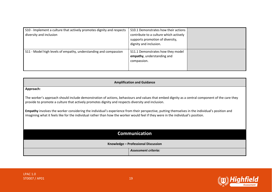| S10 - Implement a culture that actively promotes dignity and respects<br>diversity and inclusion | S10.1 Demonstrates how their actions<br>contribute to a culture which actively<br>supports promotion of diversity,<br>dignity and inclusion. |  |
|--------------------------------------------------------------------------------------------------|----------------------------------------------------------------------------------------------------------------------------------------------|--|
| S11 - Model high levels of empathy, understanding and compassion                                 | S11.1 Demonstrates how they model<br>empathy, understanding and<br>compassion.                                                               |  |

| <b>Amplification and Guidance</b>                                                                                                                                                                                                                                                   |                                                                                                                                                 |  |
|-------------------------------------------------------------------------------------------------------------------------------------------------------------------------------------------------------------------------------------------------------------------------------------|-------------------------------------------------------------------------------------------------------------------------------------------------|--|
| Approach:                                                                                                                                                                                                                                                                           |                                                                                                                                                 |  |
| provide to promote a culture that actively promotes dignity and respects diversity and inclusion.                                                                                                                                                                                   | The worker's approach should include demonstration of actions, behaviours and values that embed dignity as a central component of the care they |  |
| Empathy involves the worker considering the individual's experience from their perspective, putting themselves in the individual's position and<br>imagining what it feels like for the individual rather than how the worker would feel if they were in the individual's position. |                                                                                                                                                 |  |
| <b>Communication</b>                                                                                                                                                                                                                                                                |                                                                                                                                                 |  |
| Knowledge - Professional Discussion                                                                                                                                                                                                                                                 |                                                                                                                                                 |  |
|                                                                                                                                                                                                                                                                                     | Assessment criteria:                                                                                                                            |  |

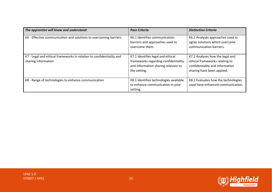| The apprentice will know and understand:                                                    | <b>Pass Criteria</b>                                                                                                             | <b>Distinction Criteria</b>                                                                                                        |
|---------------------------------------------------------------------------------------------|----------------------------------------------------------------------------------------------------------------------------------|------------------------------------------------------------------------------------------------------------------------------------|
| K6 - Effective communication and solutions to overcoming barriers                           | K6.1 Identifies communication<br>barriers and approaches used to<br>overcome them.                                               | K6.2 Analyses approaches used to<br>agree solutions which overcame<br>communication barriers.                                      |
| K7 - Legal and ethical frameworks in relation to confidentiality and<br>sharing information | K7.1 Identifies legal and ethical<br>frameworks regarding confidentiality<br>and information sharing relevant to<br>the setting. | K7.2 Analyses how the legal and<br>ethical frameworks relating to<br>confidentiality and information<br>sharing have been applied. |
| K8 - Range of technologies to enhance communication                                         | K8.1 Identifies technologies available<br>to enhance communication in your<br>setting.                                           | K8.2 Evaluates how the technologies<br>used have enhanced communication.                                                           |



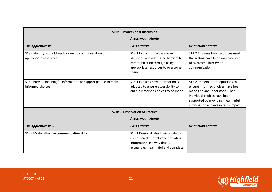| <b>Skills - Professional Discussion</b>                                             |                                                                                                                                                   |                                                                                                                                                                                                                    |
|-------------------------------------------------------------------------------------|---------------------------------------------------------------------------------------------------------------------------------------------------|--------------------------------------------------------------------------------------------------------------------------------------------------------------------------------------------------------------------|
|                                                                                     | Assessment criteria                                                                                                                               |                                                                                                                                                                                                                    |
| The apprentice will:                                                                | <b>Pass Criteria</b>                                                                                                                              | <b>Distinction Criteria</b>                                                                                                                                                                                        |
| S13 - Identify and address barriers to communication using<br>appropriate resources | S13.1 Explains how they have<br>identified and addressed barriers to<br>communication through using<br>appropriate resources to overcome<br>them. | S13.2 Analyses how resources used in<br>the setting have been implemented<br>to overcome barriers to<br>communication.                                                                                             |
| S15 - Provide meaningful information to support people to make<br>informed choices  | S15.1 Explains how information is<br>adapted to ensure accessibility to<br>enable informed choices to be made                                     | S15.2 Implements adaptations to<br>ensure informed choices have been<br>made and are understood. That<br>individual choices have been<br>supported by providing meaningful<br>information and evaluate its impact. |
|                                                                                     | <b>Skills - Observation of Practice</b>                                                                                                           |                                                                                                                                                                                                                    |
|                                                                                     | <b>Assessment criteria</b>                                                                                                                        |                                                                                                                                                                                                                    |
| The apprentice will:                                                                | <b>Pass Criteria</b>                                                                                                                              | <b>Distinction Criteria</b>                                                                                                                                                                                        |
| S12 - Model effective communication skills                                          | S12.1 Demonstrates their ability to<br>communicate effectively, providing<br>information in a way that is<br>accessible, meaningful and complete. |                                                                                                                                                                                                                    |

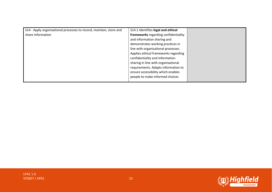| S14 - Apply organisational processes to record, maintain, store and | S14.1 Identifies legal and ethical   |  |
|---------------------------------------------------------------------|--------------------------------------|--|
| share information                                                   | frameworks regarding confidentiality |  |
|                                                                     | and information sharing and          |  |
|                                                                     | demonstrates working practices in    |  |
|                                                                     | line with organisational processes.  |  |
|                                                                     | Applies ethical frameworks regarding |  |
|                                                                     | confidentiality and information      |  |
|                                                                     | sharing in line with organisational  |  |
|                                                                     | requirements. Adapts information to  |  |
|                                                                     | ensure accessibility which enables   |  |
|                                                                     | people to make informed choices      |  |
|                                                                     |                                      |  |



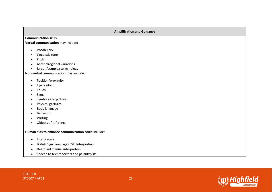#### **Amplification and Guidance**

**Communication skills:**

**Verbal communication** may include:

- Vocabulary
- Linguistic tone
- Pitch
- Accent/regional variations
- Jargon/complex terminology

**Non-verbal communication** may include:

- Position/proximity
- Eye contact
- Touch
- Signs
- Symbols and pictures
- Physical gestures
- Body language
- Behaviour
- Writing
- Objects of reference

**Human aids to enhance communication** could include:

- Interpreters
- British Sign Language (BSL) Interpreters
- Deafblind manual interpreters
- Speech to text reporters and palantypists

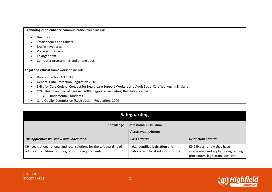**Technologies to enhance communication** could include:

- Hearing aids
- Smartphones and tablets
- Braille keyboards
- Voice synthesisers
- Enlarged text
- Computer programmes and phone apps

#### **Legal and ethical frameworks** to include:

- Data Protection Act 2018
- General Data Protection Regulation 2018
- Skills for Care Code of Conduct for Healthcare Support Workers and Adult Social Care Workers in England
- CQC: Health and Social Care Act 2008 (Regulated Activities) Regulations 2014
	- Fundamental Standards
- Care Quality Commission (Registration) Regulations 2009

| <b>Safeguarding</b>                                                    |                                      |                                                                            |
|------------------------------------------------------------------------|--------------------------------------|----------------------------------------------------------------------------|
| Knowledge - Professional Discussion                                    |                                      |                                                                            |
|                                                                        | <b>Assessment criteria:</b>          |                                                                            |
| The apprentice will know and understand:                               | <b>Pass Criteria</b>                 | <b>Distinction Criteria</b>                                                |
| K9 - Legislation, national and local solutions for the safeguarding of | K9.1 Identifies legislation and      | K9.2 Explains how they have                                                |
| adults and children including reporting requirements                   | national and local solutions for the | interpreted and applied safeguarding<br>procedures, legislation, local and |

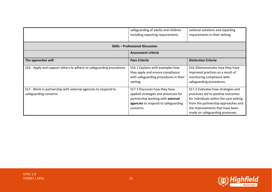|                                                                                         | safeguarding of adults and children<br>including reporting requirements                                                                                        | national solutions and reporting<br>requirements in their setting.                                                                                                                                                               |
|-----------------------------------------------------------------------------------------|----------------------------------------------------------------------------------------------------------------------------------------------------------------|----------------------------------------------------------------------------------------------------------------------------------------------------------------------------------------------------------------------------------|
|                                                                                         | <b>Skills - Professional Discussion</b>                                                                                                                        |                                                                                                                                                                                                                                  |
|                                                                                         | Assessment criteria                                                                                                                                            |                                                                                                                                                                                                                                  |
| The apprentice will:                                                                    | <b>Pass Criteria</b>                                                                                                                                           | <b>Distinction Criteria</b>                                                                                                                                                                                                      |
| S16 - Apply and support others to adhere to safeguarding procedures                     | S16.1 Explains with examples how<br>they apply and ensure compliance<br>with safeguarding procedures in their<br>setting.                                      | S16.2Demonstrates how they have<br>improved practices as a result of<br>monitoring compliance with<br>safeguarding procedures.                                                                                                   |
| S17 - Work in partnership with external agencies to respond to<br>safeguarding concerns | S17.1 Discusses how they have<br>applied strategies and processes for<br>partnership working with external<br>agencies to respond to safeguarding<br>concerns. | S17.2 Evaluates how strategies and<br>processes led to positive outcomes<br>for individuals within the care setting<br>from the partnership approaches and<br>the improvements that have been<br>made on safeguarding processes. |

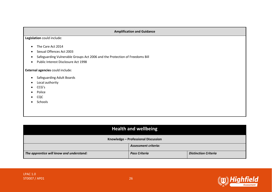#### **Amplification and Guidance**

**Legislation** could include:

- The Care Act 2014
- Sexual Offences Act 2003
- Safeguarding Vulnerable Groups Act 2006 and the Protection of Freedoms Bill
- Public Interest Disclosure Act 1998

**External agencies** could include:

- Safeguarding Adult Boards
- Local authority
- CCG's
- Police
- CQC
- Schools

| <b>Health and wellbeing</b>              |                      |                             |
|------------------------------------------|----------------------|-----------------------------|
| Knowledge - Professional Discussion      |                      |                             |
| <b>Assessment criteria:</b>              |                      |                             |
| The apprentice will know and understand: | <b>Pass Criteria</b> | <b>Distinction Criteria</b> |

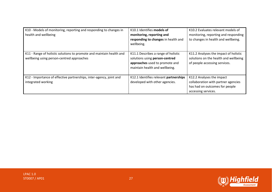| K10 - Models of monitoring, reporting and responding to changes in<br>health and wellbeing                        | K10.1 Identifies models of<br>monitoring, reporting and<br>responding to changes in health and<br>wellbeing.                              | K10.2 Evaluates relevant models of<br>monitoring, reporting and responding<br>to changes in health and wellbeing.         |
|-------------------------------------------------------------------------------------------------------------------|-------------------------------------------------------------------------------------------------------------------------------------------|---------------------------------------------------------------------------------------------------------------------------|
| K11 - Range of holistic solutions to promote and maintain health and<br>wellbeing using person-centred approaches | K11.1 Describes a range of holistic<br>solutions using person-centred<br>approaches used to promote and<br>maintain health and wellbeing. | K11.2 Analyses the impact of holistic<br>solutions on the health and wellbeing<br>of people accessing services.           |
| K12 - Importance of effective partnerships, inter-agency, joint and<br>integrated working                         | K12.1 Identifies relevant partnerships<br>developed with other agencies.                                                                  | K12.2 Analyses the impact<br>collaboration with partner agencies<br>has had on outcomes for people<br>accessing services. |

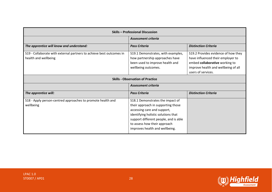| <b>Skills - Professional Discussion</b>                                                      |                                                                                                                                                                                                                                                         |                                                                                                                                                                         |
|----------------------------------------------------------------------------------------------|---------------------------------------------------------------------------------------------------------------------------------------------------------------------------------------------------------------------------------------------------------|-------------------------------------------------------------------------------------------------------------------------------------------------------------------------|
|                                                                                              | <b>Assessment criteria</b>                                                                                                                                                                                                                              |                                                                                                                                                                         |
| The apprentice will know and understand:                                                     | <b>Pass Criteria</b>                                                                                                                                                                                                                                    | <b>Distinction Criteria</b>                                                                                                                                             |
| S19 - Collaborate with external partners to achieve best outcomes in<br>health and wellbeing | S19.1 Demonstrates, with examples,<br>how partnership approaches have<br>been used to improve health and<br>wellbeing outcomes.                                                                                                                         | S19.2 Provides evidence of how they<br>have influenced their employer to<br>embed collaborative working to<br>improve health and wellbeing of all<br>users of services. |
|                                                                                              | <b>Skills - Observation of Practice</b>                                                                                                                                                                                                                 |                                                                                                                                                                         |
|                                                                                              | <b>Assessment criteria</b>                                                                                                                                                                                                                              |                                                                                                                                                                         |
| The apprentice will:                                                                         | <b>Pass Criteria</b>                                                                                                                                                                                                                                    | <b>Distinction Criteria</b>                                                                                                                                             |
| S18 - Apply person-centred approaches to promote health and<br>wellbeing                     | S18.1 Demonstrates the impact of<br>their approach in supporting those<br>accessing care and support,<br>identifying holistic solutions that<br>support different people, and is able<br>to assess how their approach<br>improves health and wellbeing. |                                                                                                                                                                         |

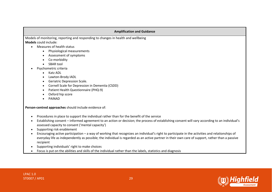#### **Amplification and Guidance**

Models of monitoring, reporting and responding to changes in health and wellbeing **Models** could include:

- Measures of health status
	- Physiological measurements
	- Assessment of symptoms
	- Co-morbidity
	- SBAR tool
- Psychometric criteria
	- Katz ADL
	- Lawton-Brody IADL
	- Geriatric Depression Scale.
	- Cornell Scale for Depression in Dementia (CSDD)
	- Patient Health Questionnaire (PHQ-9)
	- Oxford hip score
	- PAINAD

**Person-centred approaches** should include evidence of:

- Procedures in place to support the individual rather than for the benefit of the service
- Establishing consent informed agreement to an action or decision; the process of establishing consent will vary according to an individual's assessed capacity to consent ('mental capacity')
- Supporting risk enablement
- Encouraging active participation a way of working that recognizes an individual's right to participate in the activities and relationships of everyday life as independently as possible; the individual is regarded as an active partner in their own care of support, rather than a passive recipient
- Supporting individuals' right to make choices
- Focus is put on the abilities and skills of the individual rather than the labels, statistics and diagnosis

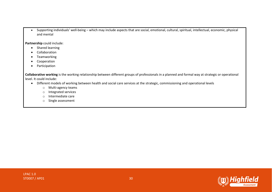• Supporting individuals' well-being – which may include aspects that are social, emotional, cultural, spiritual, intellectual, economic, physical and mental

**Partnership** could include:

- Shared learning
- Collaboration
- Teamworking
- Cooperation
- Participation

**Collaborative working** is the working relationship between different groups of professionals in a planned and formal way at strategic or operational level. It could include:

- Different models of working between health and social care services at the strategic, commissioning and operational levels
	- o Multi-agency teams
	- o Integrated services
	- o Intermediate care
	- o Single assessment

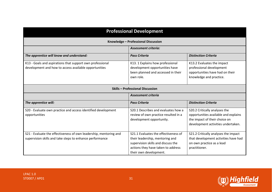| <b>Professional Development</b>                                                                                               |                                                                                                                                                                               |                                                                                                                                              |
|-------------------------------------------------------------------------------------------------------------------------------|-------------------------------------------------------------------------------------------------------------------------------------------------------------------------------|----------------------------------------------------------------------------------------------------------------------------------------------|
|                                                                                                                               | Knowledge - Professional Discussion                                                                                                                                           |                                                                                                                                              |
|                                                                                                                               | <b>Assessment criteria:</b>                                                                                                                                                   |                                                                                                                                              |
| The apprentice will know and understand:                                                                                      | <b>Pass Criteria</b>                                                                                                                                                          | <b>Distinction Criteria</b>                                                                                                                  |
| K13 - Goals and aspirations that support own professional<br>development and how to access available opportunities            | K13. 1 Explains how professional<br>development opportunities have<br>been planned and accessed in their<br>own role.                                                         | K13.2 Evaluates the impact<br>professional development<br>opportunities have had on their<br>knowledge and practice.                         |
| <b>Skills - Professional Discussion</b>                                                                                       |                                                                                                                                                                               |                                                                                                                                              |
|                                                                                                                               | <b>Assessment criteria</b>                                                                                                                                                    |                                                                                                                                              |
| The apprentice will:                                                                                                          | <b>Pass Criteria</b>                                                                                                                                                          | <b>Distinction Criteria</b>                                                                                                                  |
| S20 - Evaluate own practice and access identified development<br>opportunities                                                | S20.1 Describes and evaluates how a<br>review of own practice resulted in a<br>development opportunity.                                                                       | S20.2 Critically analyses the<br>opportunities available and explains<br>the impact of their choice on<br>development activities undertaken. |
| S21 - Evaluate the effectiveness of own leadership, mentoring and<br>supervision skills and take steps to enhance performance | S21.1 Evaluates the effectiveness of<br>their leadership, mentoring and<br>supervision skills and discuss the<br>actions they have taken to address<br>their own development. | S21.2 Critically analyses the impact<br>that development activities have had<br>on own practice as a lead<br>practitioner.                   |

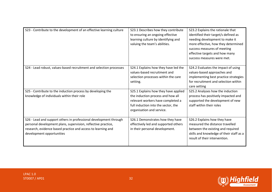| S23 - Contribute to the development of an effective learning culture                                                                                                                                                            | S23.1 Describes how they contribute<br>to ensuring an ongoing effective<br>learning culture by identifying and<br>valuing the team's abilities.                                    | S23.2 Explains the rationale that<br>identified their target/s defined as<br>needing development to make it<br>more effective, how they determined<br>success measures of meeting<br>effective targets and how many<br>success measures were met. |
|---------------------------------------------------------------------------------------------------------------------------------------------------------------------------------------------------------------------------------|------------------------------------------------------------------------------------------------------------------------------------------------------------------------------------|---------------------------------------------------------------------------------------------------------------------------------------------------------------------------------------------------------------------------------------------------|
| S24 - Lead robust, values-based recruitment and selection processes                                                                                                                                                             | S24.1 Explains how they have led the<br>values-based recruitment and<br>selection processes within the care<br>setting.                                                            | S24.2 Evaluates the impact of using<br>values-based approaches and<br>implementing best practice strategies<br>for recruitment and selection within<br>care setting                                                                               |
| S25 - Contribute to the induction process by developing the<br>knowledge of individuals within their role                                                                                                                       | S25.1 Explains how they have applied<br>the induction process and how all<br>relevant workers have completed a<br>full induction into the sector, the<br>organisation and service. | S25.2 Analyses how the induction<br>process has positively impacted and<br>supported the development of new<br>staff within their roles                                                                                                           |
| S26 - Lead and support others in professional development through<br>personal development plans, supervision, reflective practice,<br>research, evidence based practice and access to learning and<br>development opportunities | S26.1 Demonstrates how they have<br>effectively led and supported others<br>in their personal development.                                                                         | S26.2 Explains how they have<br>measured the distance travelled<br>between the existing and required<br>skills and knowledge of their staff as a<br>result of their intervention.                                                                 |

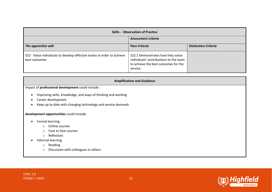| <b>Skills - Observation of Practice</b>                                                 |                                                                                                                                 |                             |
|-----------------------------------------------------------------------------------------|---------------------------------------------------------------------------------------------------------------------------------|-----------------------------|
|                                                                                         | Assessment criteria                                                                                                             |                             |
| The apprentice will:                                                                    | <b>Pass Criteria</b>                                                                                                            | <b>Distinction Criteria</b> |
| S22 - Value individuals to develop effective teams in order to achieve<br>best outcomes | S22.1 Demonstrates how they value<br>individuals' contributions to the team<br>to achieve the best outcomes for the<br>service. |                             |

| <b>Amplification and Guidance</b>                             |  |  |
|---------------------------------------------------------------|--|--|
| Impact of professional development could include:             |  |  |
| Improving skills, knowledge, and ways of thinking and working |  |  |
| Career development                                            |  |  |
| Keep up to date with changing technology and service demands  |  |  |
| development opportunities could include:                      |  |  |
| Formal learning                                               |  |  |
| Online courses<br>$\Omega$                                    |  |  |
| Face to face courses<br>$\circ$                               |  |  |
| Reflection<br>$\circ$                                         |  |  |
| Informal learning                                             |  |  |
| Reading<br>$\circ$                                            |  |  |
| Discussion with colleagues or others<br>$\circ$               |  |  |

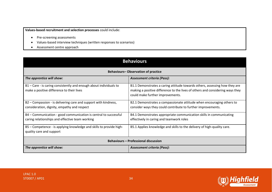**Values-based recruitment and selection processes** could include:

- Pre-screening assessments
- Values-based interview techniques (written responses to scenarios)
- Assessment centre approach

| <b>Behaviours</b>                                                                                                   |                                                                                                                                                                                                 |  |
|---------------------------------------------------------------------------------------------------------------------|-------------------------------------------------------------------------------------------------------------------------------------------------------------------------------------------------|--|
| <b>Behaviours-Observation of practice</b>                                                                           |                                                                                                                                                                                                 |  |
| The apprentice will show:                                                                                           | Assessment criteria (Pass):                                                                                                                                                                     |  |
| B1 - Care - is caring consistently and enough about individuals to<br>make a positive difference to their lives     | B1.1 Demonstrates a caring attitude towards others, assessing how they are<br>making a positive difference to the lives of others and considering ways they<br>could make further improvements. |  |
| B2 – Compassion - is delivering care and support with kindness,<br>consideration, dignity, empathy and respect      | B2.1 Demonstrates a compassionate attitude when encouraging others to<br>consider ways they could contribute to further improvements.                                                           |  |
| B4 - Communication - good communication is central to successful<br>caring relationships and effective team working | B4.1 Demonstrates appropriate communication skills in communicating<br>effectively in caring and teamwork roles                                                                                 |  |
| B5 - Competence - is applying knowledge and skills to provide high-<br>quality care and support                     | B5.1 Applies knowledge and skills to the delivery of high-quality care.                                                                                                                         |  |
| <b>Behaviours – Professional discussion</b>                                                                         |                                                                                                                                                                                                 |  |
| The apprentice will show:                                                                                           | Assessment criteria (Pass):                                                                                                                                                                     |  |

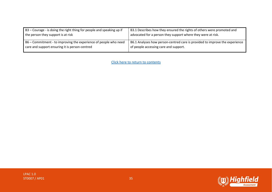| B3 – Courage - is doing the right thing for people and speaking up if | B3.1 Describes how they ensured the rights of others were promoted and      |
|-----------------------------------------------------------------------|-----------------------------------------------------------------------------|
| the person they support is at risk                                    | advocated for a person they support where they were at risk.                |
| B6 – Commitment - to improving the experience of people who need      | B6.1 Analyses how person-centred care is provided to improve the experience |
| care and support ensuring it is person-centred                        | of people accessing care and support.                                       |
|                                                                       |                                                                             |

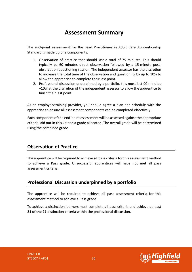# **Assessment Summary**

<span id="page-35-0"></span>The end-point assessment for the Lead Practitioner in Adult Care Apprenticeship Standard is made up of 2 components:

- 1. Observation of practice that should last a total of 75 minutes. This should typically be 60 minutes direct observation followed by a 15-minute postobservation questioning session. The independent assessor has the discretion to increase the total time of the observation and questioning by up to 10% to allow the apprentice to complete their last point.
- 2. Professional discussion underpinned by a portfolio, this must last 90 minutes +10% at the discretion of the independent assessor to allow the apprentice to finish their last point.

As an employer/training provider, you should agree a plan and schedule with the apprentice to ensure all assessment components can be completed effectively.

Each component of the end-point assessment will be assessed against the appropriate criteria laid out in this kit and a grade allocated. The overall grade will be determined using the combined grade.

### **Observation of Practice**

The apprentice will be required to achieve **all** pass criteria for this assessment method to achieve a Pass grade. Unsuccessful apprentices will have not met all pass assessment criteria.

# **Professional Discussion underpinned by a portfolio**

The apprentice will be required to achieve **all** pass assessment criteria for this assessment method to achieve a Pass grade.

To achieve a distinction learners must complete **all** pass criteria and achieve at least **21 of the 27** distinction criteria within the professional discussion.

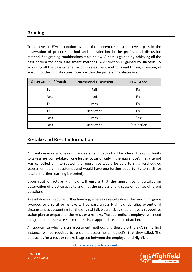# **Grading**

To achieve an EPA distinction overall, the apprentice must achieve a pass in the observation of practice method and a distinction in the professional discussion method. See grading combinations table below. A pass is gained by achieving all the pass criteria for both assessment methods. A distinction is gained by successfully achieving all the pass criteria for both assessment methods and through meeting at least 21 of the 27 distinction criteria within the professional discussion.

| <b>Observation of Practice</b> | <b>Professional Discussion</b> | <b>EPA Grade</b> |
|--------------------------------|--------------------------------|------------------|
| Fail                           | Fail                           | Fail             |
| Pass                           | Fail                           | Fail             |
| Fail                           | Pass                           | Fail             |
| Fail                           | Distinction                    | Fail             |
| Pass                           | Pass                           | Pass             |
| Pass                           | Distinction                    | Distinction      |

### **Re-take and Re-sit information**

Apprentices who fail one or more assessment method will be offered the opportunity to take a re-sit or re-take on one further occasion only. If the apprentice's first attempt was cancelled or interrupted, the apprentice would be able to sit a rescheduled assessment as a first attempt and would have one further opportunity to re-sit (or retake if further learning is needed).

Upon resit or retake Highfield will ensure that the apprentice undertakes an observation of practice activity and that the professional discussion utilises different questions.

A re-sit does not require further learning, whereas a re-take does. The maximum grade awarded to a re-sit or re-take will be pass unless Highfield identifies exceptional circumstances accounting for the original fail. Apprentices should have a supportive action plan to prepare for the re-sit or a re-take. The apprentice's employer will need to agree that either a re-sit or re-take is an appropriate course of action.

An apprentice who fails an assessment method, and therefore the EPA in the first instance, will be required to re-sit the assessment method(s) that they failed. The timescales for a resit or retake is agreed between the employer and Highfield.



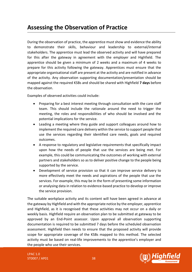# <span id="page-37-0"></span>**Assessing the Observation of Practice**

During the observation of practice, the apprentice must show and evidence the ability to demonstrate their skills, behaviour and leadership to external/internal stakeholders. The apprentice must lead the observed activity and will have prepared for this after the gateway in agreement with the employer and Highfield. The apprentice should be given a minimum of 2 weeks and a maximum of 4 weeks to prepare for this activity following the gateway. Apprentices must ensure that the appropriate organisational staff are present at the activity and are notified in advance of the activity. Any observation supporting documentation/presentation should be mapped against the required KSBs and should be shared with Highfield **7 days** before the observation.

Examples of observed activities could include:

- Preparing for a best interest meeting through consultation with the care staff team. This should include the rationale around the need to trigger the meeting, the roles and responsibilities of who should be involved and the potential implications for the service.
- Leading a meeting where they guide and support colleagues around how to implement the required care delivery within the service to support people that use the services regarding their identified care needs, goals and required outcomes.
- A response to regulatory and legislative requirements that specifically impact upon how the needs of people that use the services are being met. For example, this could be communicating the outcomes of working with external partners and stakeholders so as to deliver positive change to the people being supported by the service.
- Development of service provision so that it can improve service delivery to more effectively meet the needs and aspirations of the people that use the services. For example, this may be in the form of presenting some information or analysing data in relation to evidence-based practice to develop or improve the service provision.

The suitable workplace activity and its content will have been agreed in advance at the gateway by Highfield and with the appropriate notice by the employer, apprentice and Highfield, as it is recognised that these activities may not occur on a daily or weekly basis. Highfield require an observation plan to be submitted at gateway to be approved by an End-Point assessor. Upon approval all observation supporting documentation is required to be submitted 7 days before the scheduled observation assessment. Highfield then needs to ensure that the proposed activity will provide scope for appropriate coverage of the KSBs mapped to this method. The selected activity must be based on real-life improvements to the apprentice's employer and the people who use their services.

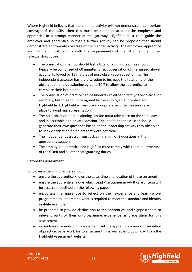Where Highfield believes that the planned activity **will not** demonstrate appropriate coverage of the KSBs, then this must be communicated to the employer and apprentice in a prompt manner at the gateway. Highfield must then guide the employer and apprentice so that a further activity can be proposed that should demonstrate appropriate coverage of the planned activity. The employer, apprentice and Highfield must comply with the requirements of the GDPR and all other safeguarding duties.

- The observation method should last a total of 75 minutes. This should typically be comprised of 60 minutes' direct observation of the agreed above activity, followed by 15 minutes of post-observation questioning. The independent assessor has the discretion to increase the total time of the observation and questioning by up to 10% to allow the apprentice to complete their last point.
- The observation of practice can be undertaken either directly(face-to-face) or remotely, but this should be agreed by the employer, apprentice and Highfield first. Highfield will ensure appropriate security measures are in place to avoid misrepresentation.
- The post-observation questioning session **must** take place on the same day and in a suitable and private location. The independent assessor should generate their own questions based on the leadership activity they observed to seek clarification on points that were not clear.
- The independent assessor must ask a minimum of 3 questions in the questioning session.
- The employer, apprentice and Highfield must comply with the requirements of the GDPR and all other safeguarding duties.

#### **Before the assessment**

Employers/training providers should:

- ensure the apprentice knows the date, time and location of the assessment
- ensure the apprentice knows which Lead Practitioner in Adult care criteria will be assessed (outlined on the following pages)
- encourage the apprentice to reflect on their experience and learning onprogramme to understand what is required to meet the standard and identify real-life examples
- be prepared to provide clarification to the apprentice, and signpost them to relevant parts of their on-programme experience as preparation for this assessment
- in readiness for end-point assessment, set the apprentice a mock observation of practice, paperwork for to structure this is available to download from the Highfield Assessment website

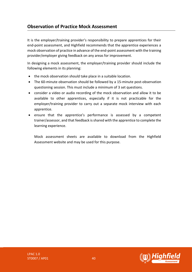# **Observation of Practice Mock Assessment**

It is the employer/training provider's responsibility to prepare apprentices for their end-point assessment, and Highfield recommends that the apprentice experiences a mock observation of practice in advance of the end-point assessment with the training provider/employer giving feedback on any areas for improvement.

In designing a mock assessment, the employer/training provider should include the following elements in its planning:

- the mock observation should take place in a suitable location.
- The 60-minute observation should be followed by a 15-minute post-observation questioning session. This must include a minimum of 3 set questions.
- consider a video or audio recording of the mock observation and allow it to be available to other apprentices, especially if it is not practicable for the employer/training provider to carry out a separate mock interview with each apprentice.
- ensure that the apprentice's performance is assessed by a competent trainer/assessor, and that feedback is shared with the apprentice to complete the learning experience.

Mock assessment sheets are available to download from the Highfield Assessment website and may be used for this purpose.

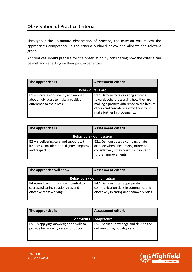# **Observation of Practice Criteria**

Throughout the 75-minute observation of practice, the assessor will review the apprentice's competence in the criteria outlined below and allocate the relevant grade.

Apprentices should prepare for the observation by considering how the criteria can be met and reflecting on their past experiences.

| The apprentice is                                                                                         | <b>Assessment criteria</b>                                                                                                                                                                            |
|-----------------------------------------------------------------------------------------------------------|-------------------------------------------------------------------------------------------------------------------------------------------------------------------------------------------------------|
|                                                                                                           | <b>Behaviours - Care</b>                                                                                                                                                                              |
| B1-is caring consistently and enough<br>about individuals to make a positive<br>difference to their lives | B1.1 Demonstrates a caring attitude<br>towards others, assessing how they are<br>making a positive difference to the lives of<br>others and considering ways they could<br>make further improvements. |

| The apprentice is                                                                                      | <b>Assessment criteria</b>                                                                                                                  |
|--------------------------------------------------------------------------------------------------------|---------------------------------------------------------------------------------------------------------------------------------------------|
|                                                                                                        | <b>Behaviours - Compassion</b>                                                                                                              |
| $B2$ – is delivering care and support with<br>kindness, consideration, dignity, empathy<br>and respect | B2.1 Demonstrates a compassionate<br>attitude when encouraging others to<br>consider ways they could contribute to<br>further improvements. |

| The apprentice will show                                                                               | <b>Assessment criteria</b>                                                                                         |
|--------------------------------------------------------------------------------------------------------|--------------------------------------------------------------------------------------------------------------------|
| <b>Behaviours - Communication</b>                                                                      |                                                                                                                    |
| B4 - good communication is central to<br>successful caring relationships and<br>effective team working | B4.1 Demonstrates appropriate<br>communication skills in communicating<br>effectively in caring and teamwork roles |

| The apprentice is                                                                 | Assessment criteria                                                        |
|-----------------------------------------------------------------------------------|----------------------------------------------------------------------------|
|                                                                                   | <b>Behaviours - Competence</b>                                             |
| B5 - is applying knowledge and skills to<br>provide high-quality care and support | B5.1 Applies knowledge and skills to the<br>delivery of high-quality care. |

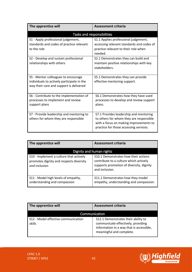| The apprentice will                                                                                                                                                 | Assessment criteria                                                                                                                                                                                                      |
|---------------------------------------------------------------------------------------------------------------------------------------------------------------------|--------------------------------------------------------------------------------------------------------------------------------------------------------------------------------------------------------------------------|
|                                                                                                                                                                     | Tasks and responsibilities                                                                                                                                                                                               |
| S1 - Apply professional judgement,<br>standards and codes of practice relevant<br>to the role<br>S2 - Develop and sustain professional<br>relationships with others | S1.1 Applies professional judgement,<br>accessing relevant standards and codes of<br>practice relevant to their role when<br>needed.<br>S2.1 Demonstrates they can build and<br>maintain positive relationships with key |
| S5 - Mentor colleagues to encourage<br>individuals to actively participate in the<br>way their care and support is delivered                                        | stakeholders.<br>S5.1 Demonstrates they can provide<br>effective mentoring support.                                                                                                                                      |
| S6 - Contribute to the implementation of<br>processes to implement and review<br>support plans                                                                      | S6.1 Demonstrates how they have used<br>processes to develop and review support<br>plans.                                                                                                                                |
| S7 - Provide leadership and mentoring to<br>others for whom they are responsible                                                                                    | S7.1 Provides leadership and mentoring<br>to others for whom they are responsible<br>with a focus on making improvements to<br>practice for those accessing services.                                                    |

| The apprentice will                                                                                 | <b>Assessment criteria</b>                                                                                                                   |  |
|-----------------------------------------------------------------------------------------------------|----------------------------------------------------------------------------------------------------------------------------------------------|--|
| Dignity and human rights                                                                            |                                                                                                                                              |  |
| S10 - Implement a culture that actively<br>promotes dignity and respects diversity<br>and inclusion | S10.1 Demonstrates how their actions<br>contribute to a culture which actively<br>supports promotion of diversity, dignity<br>and inclusion. |  |
| S11 - Model high levels of empathy,<br>understanding and compassion                                 | S11.1 Demonstrates how they model<br>empathy, understanding and compassion.                                                                  |  |

| The apprentice will                           | <b>Assessment criteria</b>                                                                                                                        |  |
|-----------------------------------------------|---------------------------------------------------------------------------------------------------------------------------------------------------|--|
| Communication                                 |                                                                                                                                                   |  |
| S12 - Model effective communication<br>skills | S12.1 Demonstrates their ability to<br>communicate effectively, providing<br>information in a way that is accessible,<br>meaningful and complete. |  |

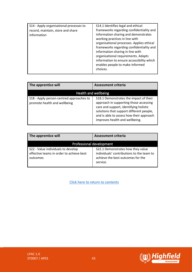| S14 - Apply organisational processes to<br>record, maintain, store and share<br>information | S14.1 Identifies legal and ethical<br>frameworks regarding confidentiality and<br>information sharing and demonstrates<br>working practices in line with<br>organisational processes. Applies ethical |
|---------------------------------------------------------------------------------------------|-------------------------------------------------------------------------------------------------------------------------------------------------------------------------------------------------------|
|                                                                                             | frameworks regarding confidentiality and<br>information sharing in line with<br>organisational requirements. Adapts<br>information to ensure accessibility which<br>enables people to make informed   |
|                                                                                             | choices.                                                                                                                                                                                              |

| The apprentice will                                                      | <b>Assessment criteria</b>                                                                                                                                                                                                                           |
|--------------------------------------------------------------------------|------------------------------------------------------------------------------------------------------------------------------------------------------------------------------------------------------------------------------------------------------|
|                                                                          | Health and wellbeing                                                                                                                                                                                                                                 |
| S18 - Apply person-centred approaches to<br>promote health and wellbeing | S18.1 Demonstrates the impact of their<br>approach in supporting those accessing<br>care and support, identifying holistic<br>solutions that support different people,<br>and is able to assess how their approach<br>improves health and wellbeing. |

| The apprentice will                                                                        | <b>Assessment criteria</b>                                                                                                      |  |
|--------------------------------------------------------------------------------------------|---------------------------------------------------------------------------------------------------------------------------------|--|
| Professional development                                                                   |                                                                                                                                 |  |
| S22 - Value individuals to develop<br>effective teams in order to achieve best<br>outcomes | S22.1 Demonstrates how they value<br>individuals' contributions to the team to<br>achieve the best outcomes for the<br>service. |  |

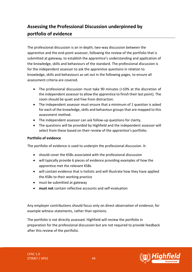# <span id="page-43-0"></span>**Assessing the Professional Discussion underpinned by portfolio of evidence**

The professional discussion is an in-depth, two-way discussion between the apprentice and the end-point assessor, following the review of the portfolio that is submitted at gateway, to establish the apprentice's understanding and application of the knowledge, skills and behaviours of the standard. The professional discussion is for the independent assessor to ask the apprentice questions in relation to knowledge, skills and behaviours as set out in the following pages, to ensure all assessment criteria are covered.

- The professional discussion must take 90 minutes (+10% at the discretion of the independent assessor to allow the apprentice to finish their last point). The room should be quiet and free from distraction.
- The independent assessor must ensure that a minimum of 1 question is asked for each of the knowledge, skills and behaviour groups that are mapped to this assessment method.
- The independent assessor can ask follow-up questions for clarity.
- The questions will be provided by Highfield and the independent assessor will select from these based on their review of the apprentice's portfolio.

#### **Portfolio of evidence**

The portfolio of evidence is used to underpin the professional discussion. It:

- should cover the KSBs associated with the professional discussion
- will typically provide 6 pieces of evidence providing examples of how the apprentice met the relevant KSBs
- will contain evidence that is holistic and will illustrate how they have applied the KSBs to their working practice
- must be submitted at gateway
- **must not** contain reflective accounts and self-evaluation

Any employer contributions should focus only on direct observation of evidence, for example witness statements, rather than opinions.

The portfolio is not directly assessed. Highfield will review the portfolio in preparation for the professional discussion but are not required to provide feedback after this review of the portfolio.

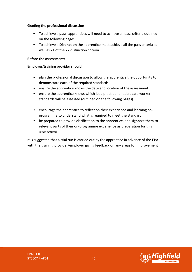#### **Grading the professional discussion**

- To achieve a **pass**, apprentices will need to achieve all pass criteria outlined on the following pages
- To achieve a **Distinction** the apprentice must achieve all the pass criteria as well as 21 of the 27 distinction criteria.

#### **Before the assessment:**

Employer/training provider should:

- plan the professional discussion to allow the apprentice the opportunity to demonstrate each of the required standards
- ensure the apprentice knows the date and location of the assessment
- ensure the apprentice knows which lead practitioner adult care worker standards will be assessed (outlined on the following pages)
- encourage the apprentice to reflect on their experience and learning onprogramme to understand what is required to meet the standard
- be prepared to provide clarification to the apprentice, and signpost them to relevant parts of their on-programme experience as preparation for this assessment

It is suggested that a trial run is carried out by the apprentice in advance of the EPA with the training provider/employer giving feedback on any areas for improvement

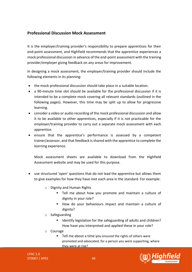### **Professional Discussion Mock Assessment**

It is the employer/training provider's responsibility to prepare apprentices for their end-point assessment, and Highfield recommends that the apprentice experiences a mock professional discussion in advance of the end-point assessment with the training provider/employer giving feedback on any areas for improvement.

In designing a mock assessment, the employer/training provider should include the following elements in its planning:

- the mock professional discussion should take place in a suitable location.
- a 90-minute time slot should be available for the professional discussion if it is intended to be a complete mock covering all relevant standards (outlined in the following pages). However, this time may be split up to allow for progressive learning.
- consider a video or audio recording of the mock professional discussion and allow it to be available to other apprentices, especially if it is not practicable for the employer/training provider to carry out a separate mock assessment with each apprentice.
- ensure that the apprentice's performance is assessed by a competent trainer/assessor, and that feedback is shared with the apprentice to complete the learning experience.

Mock assessment sheets are available to download from the Highfield Assessment website and may be used for this purpose.

- use structured 'open' questions that do not lead the apprentice but allows them to give examples for how they have met each area in the standard. For example:
	- o Dignity and Human Rights
		- Tell me about how you promote and maintain a culture of dignity in your role?
		- How do your behaviours impact and maintain a culture of dignity?
	- o Safeguarding
		- Identify legislation for the safeguarding of adults and children? How have you interpreted and applied these in your role?
	- o Courage
		- Tell me about a time you ensured the rights of others were promoted and advocated, for a person you were supporting, where they were at risk?



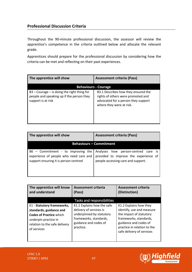### **Professional Discussion Criteria**

Throughout the 90-minute professional discussion, the assessor will review the apprentice's competence in the criteria outlined below and allocate the relevant grade.

Apprentices should prepare for the professional discussion by considering how the criteria can be met and reflecting on their past experiences.

| The apprentice will show                                                                                         | <b>Assessment criteria (Pass)</b>                                                                                                            |  |
|------------------------------------------------------------------------------------------------------------------|----------------------------------------------------------------------------------------------------------------------------------------------|--|
| <b>Behaviours - Courage</b>                                                                                      |                                                                                                                                              |  |
| $B3 - Conrage - is doing the right thing for$<br>people and speaking up if the person they<br>support is at risk | B3.1 Describes how they ensured the<br>rights of others were promoted and<br>advocated for a person they support<br>where they were at risk. |  |

| The apprentice will show                                                                                                | <b>Assessment criteria (Pass)</b>                                                                                  |  |
|-------------------------------------------------------------------------------------------------------------------------|--------------------------------------------------------------------------------------------------------------------|--|
|                                                                                                                         | <b>Behaviours - Commitment</b>                                                                                     |  |
| $B6 -$ Commitment - to improving the<br>experience of people who need care and<br>support ensuring it is person-centred | Analyses how person-centred care is<br>provided to improve the experience of<br>people accessing care and support. |  |

| The apprentice will know<br>and understand                                                                                                                      | <b>Assessment criteria</b><br>(Pass)                                                                                                              | <b>Assessment criteria</b><br>(Distinction)                                                                                                                                                   |
|-----------------------------------------------------------------------------------------------------------------------------------------------------------------|---------------------------------------------------------------------------------------------------------------------------------------------------|-----------------------------------------------------------------------------------------------------------------------------------------------------------------------------------------------|
|                                                                                                                                                                 | Tasks and responsibilities                                                                                                                        |                                                                                                                                                                                               |
| K1 - Statutory frameworks,<br>standards, guidance and<br><b>Codes of Practice which</b><br>underpin practice in<br>relation to the safe delivery<br>of services | K1.1 Explains how the safe<br>delivery of services is<br>underpinned by statutory<br>frameworks, standards,<br>guidance and codes of<br>practice. | K1.2 Explains how they<br>identify, use and measure<br>the impact of statutory<br>frameworks, standards,<br>guidance and codes of<br>practice in relation to the<br>safe delivery of services |

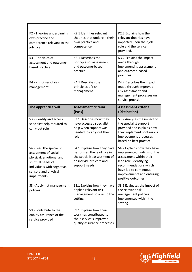| K2 - Theories underpinning<br>own practice and<br>competence relevant to the<br>job role                                                                                 | K2.1 Identifies relevant<br>theories that underpin their<br>own practice and<br>competence.                                             | K2.2 Explains how the<br>relevant theories have<br>impacted upon their job<br>role and the service<br>provided.                                                                                                       |
|--------------------------------------------------------------------------------------------------------------------------------------------------------------------------|-----------------------------------------------------------------------------------------------------------------------------------------|-----------------------------------------------------------------------------------------------------------------------------------------------------------------------------------------------------------------------|
| K3 - Principles of<br>assessment and outcome-<br>based practice                                                                                                          | K3.1 Describes the<br>principles of assessment<br>and outcome-based<br>practice.                                                        | K3.2 Explains the impact<br>made through<br>implementing assessment<br>and outcome-based<br>practices.                                                                                                                |
| K4 - Principles of risk<br>management                                                                                                                                    | K4.1 Describes the<br>principles of risk<br>management.                                                                                 | K4.2 Describes the impact<br>made through improved<br>risk assessment and<br>management processes on<br>service provision.                                                                                            |
| The apprentice will                                                                                                                                                      | <b>Assessment criteria</b><br>(Pass)                                                                                                    | <b>Assessment criteria</b><br>(Distinction)                                                                                                                                                                           |
| S3 - Identify and access<br>specialist help required to<br>carry out role                                                                                                | S3.1 Describes how they<br>have accessed specialist<br>help when support was<br>needed to carry out their<br>role.                      | S3.2 Analyses the impact of<br>the specialist support<br>provided and explains how<br>they implement continuous<br>improvement processes<br>based on best practice.                                                   |
| S4 - Lead the specialist<br>assessment of social,<br>physical, emotional and<br>spiritual needs of<br>individuals with cognitive,<br>sensory and physical<br>impairments | S4.1 Explains how they have<br>performed the lead role in<br>the specialist assessment of<br>an individual's care and<br>support needs. | S4.2 Explains how they have<br>implemented findings of the<br>assessment within their<br>lead role, identifying<br>recommendations which<br>have led to continuous<br>improvements and ensuring<br>positive outcomes. |
| S8 - Apply risk management<br>policies                                                                                                                                   | S8.1 Explains how they have<br>applied relevant risk<br>management policies to the<br>setting.                                          | S8.2 Evaluates the impact of<br>the relevant risk<br>management policies<br>implemented within the<br>setting.                                                                                                        |
| S9 - Contribute to the<br>quality assurance of the<br>service provided                                                                                                   | S9.1 Explains how their<br>work has contributed to<br>their service's improved<br>quality assurance processes                           |                                                                                                                                                                                                                       |

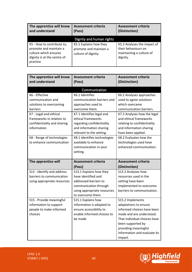| The apprentice will know<br>and understand                                                                               | <b>Assessment criteria</b><br>(Pass)                                    | <b>Assessment criteria</b><br>(Distinction)                                                |
|--------------------------------------------------------------------------------------------------------------------------|-------------------------------------------------------------------------|--------------------------------------------------------------------------------------------|
|                                                                                                                          | Dignity and human rights                                                |                                                                                            |
| K5 - How to contribute to,<br>promote and maintain a<br>culture which ensures<br>dignity is at the centre of<br>practice | K5.1 Explains how they<br>promote and maintain a<br>culture of dignity. | K5.2 Analyses the impact of<br>their behaviours on<br>maintaining a culture of<br>dignity. |

| The apprentice will know<br>and understand                                                                                                                                                                                                | <b>Assessment criteria</b><br>(Pass)                                                                                                                                                                                                                                                                                      | <b>Assessment criteria</b><br>(Distinction)                                                                                                                                                                                                                                                                              |
|-------------------------------------------------------------------------------------------------------------------------------------------------------------------------------------------------------------------------------------------|---------------------------------------------------------------------------------------------------------------------------------------------------------------------------------------------------------------------------------------------------------------------------------------------------------------------------|--------------------------------------------------------------------------------------------------------------------------------------------------------------------------------------------------------------------------------------------------------------------------------------------------------------------------|
|                                                                                                                                                                                                                                           | Communication                                                                                                                                                                                                                                                                                                             |                                                                                                                                                                                                                                                                                                                          |
| K6 - Effective<br>communication and<br>solutions to overcoming<br>barriers<br>K7 - Legal and ethical<br>frameworks in relation to<br>confidentiality and sharing<br>information<br>K8 - Range of technologies<br>to enhance communication | K6.1 Identifies<br>communication barriers and<br>approaches used to<br>overcome them.<br>K7.1 Identifies legal and<br>ethical frameworks<br>regarding confidentiality<br>and information sharing<br>relevant to the setting.<br>K8.1 Identifies technologies<br>available to enhance<br>communication in your<br>setting. | K6.2 Analyses approaches<br>used to agree solutions<br>which overcame<br>communication barriers.<br>K7.2 Analyses how the legal<br>and ethical frameworks<br>relating to confidentiality<br>and information sharing<br>have been applied.<br>K8.2 Evaluates how the<br>technologies used have<br>enhanced communication. |
| The apprentice will                                                                                                                                                                                                                       | <b>Assessment criteria</b><br>(Pass)                                                                                                                                                                                                                                                                                      | <b>Assessment criteria</b><br>(Distinction)                                                                                                                                                                                                                                                                              |
| S13 - Identify and address<br>barriers to communication<br>using appropriate resources                                                                                                                                                    | S13.1 Explains how they<br>have identified and<br>addressed barriers to<br>communication through<br>using appropriate resources<br>to overcome them.                                                                                                                                                                      | S13.2 Analyses how<br>resources used in the<br>setting have been<br>implemented to overcome<br>barriers to communication.                                                                                                                                                                                                |
| S15 - Provide meaningful<br>information to support<br>people to make informed<br>choices                                                                                                                                                  | S15.1 Explains how<br>information is adapted to<br>ensure accessibility to<br>enable informed choices to<br>be made                                                                                                                                                                                                       | S15.2 Implements<br>adaptations to ensure<br>informed choices have been<br>made and are understood.<br>That individual choices have<br>been supported by<br>providing meaningful<br>information and evaluate its                                                                                                         |

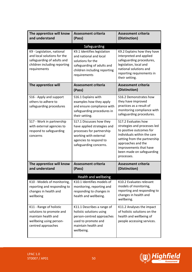| The apprentice will know<br>and understand                                                                                              | <b>Assessment criteria</b><br>(Pass)                                                                                                                              | <b>Assessment criteria</b><br>(Distinction)                                                                                                                                                                                               |
|-----------------------------------------------------------------------------------------------------------------------------------------|-------------------------------------------------------------------------------------------------------------------------------------------------------------------|-------------------------------------------------------------------------------------------------------------------------------------------------------------------------------------------------------------------------------------------|
|                                                                                                                                         | Safeguarding                                                                                                                                                      |                                                                                                                                                                                                                                           |
| K9 - Legislation, national<br>and local solutions for the<br>safeguarding of adults and<br>children including reporting<br>requirements | K9.1 Identifies legislation<br>and national and local<br>solutions for the<br>safeguarding of adults and<br>children including reporting<br>requirements          | K9.2 Explains how they have<br>interpreted and applied<br>safeguarding procedures,<br>legislation, local and<br>national solutions and<br>reporting requirements in<br>their setting.                                                     |
| The apprentice will                                                                                                                     | <b>Assessment criteria</b><br>(Pass)                                                                                                                              | <b>Assessment criteria</b><br>(Distinction)                                                                                                                                                                                               |
| S16 - Apply and support<br>others to adhere to<br>safeguarding procedures                                                               | S16.1 Explains with<br>examples how they apply<br>and ensure compliance with<br>safeguarding procedures in<br>their setting.                                      | S16.2 Demonstrates how<br>they have improved<br>practices as a result of<br>monitoring compliance with<br>safeguarding procedures.                                                                                                        |
| S17 - Work in partnership<br>with external agencies to<br>respond to safeguarding<br>concerns                                           | S17.1 Discusses how they<br>have applied strategies and<br>processes for partnership<br>working with external<br>agencies to respond to<br>safeguarding concerns. | S17.2 Evaluates how<br>strategies and processes led<br>to positive outcomes for<br>individuals within the care<br>setting from the partnership<br>approaches and the<br>improvements that have<br>been made on safeguarding<br>processes. |
| The apprentice will know<br>and understand                                                                                              | <b>Assessment criteria</b><br>(Pass)                                                                                                                              | Assessment criteria<br>(Distinction)                                                                                                                                                                                                      |
|                                                                                                                                         | Health and wellbeing                                                                                                                                              |                                                                                                                                                                                                                                           |
| K10 - Models of monitoring,<br>reporting and responding to<br>changes in health and<br>wellbeing                                        | K10.1 Identifies models of<br>monitoring, reporting and<br>responding to changes in<br>health and wellbeing.                                                      | K10.2 Evaluates relevant<br>models of monitoring,<br>reporting and responding to<br>changes in health and<br>wellbeing.                                                                                                                   |
| K11 - Range of holistic<br>solutions to promote and<br>maintain health and<br>wellbeing using person-<br>centred approaches             | K11.1 Describes a range of<br>holistic solutions using<br>person-centred approaches<br>used to promote and<br>maintain health and<br>wellbeing.                   | K11.2 Analyses the impact<br>of holistic solutions on the<br>health and wellbeing of<br>people accessing services.                                                                                                                        |

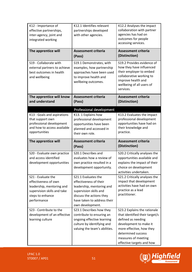| K12 - Importance of<br>effective partnerships,<br>inter-agency, joint and<br>integrated working                                           | K12.1 Identifies relevant<br>partnerships developed<br>with other agencies.                                                                                                         | K12.2 Analyses the impact<br>collaboration with partner<br>agencies has had on<br>outcomes for people<br>accessing services.                                                  |
|-------------------------------------------------------------------------------------------------------------------------------------------|-------------------------------------------------------------------------------------------------------------------------------------------------------------------------------------|-------------------------------------------------------------------------------------------------------------------------------------------------------------------------------|
| The apprentice will                                                                                                                       | <b>Assessment criteria</b><br>(Pass)                                                                                                                                                | <b>Assessment criteria</b><br>(Distinction)                                                                                                                                   |
| S19 - Collaborate with<br>external partners to achieve<br>best outcomes in health<br>and wellbeing                                        | S19.1 Demonstrates, with<br>examples, how partnership<br>approaches have been used<br>to improve health and<br>wellbeing outcomes.                                                  | S19.2 Provides evidence of<br>how they have influenced<br>their employer to embed<br>collaborative working to<br>improve health and<br>wellbeing of all users of<br>services. |
| The apprentice will know<br>and understand                                                                                                | <b>Assessment criteria</b><br>(Pass)                                                                                                                                                | <b>Assessment criteria</b><br>(Distinction)                                                                                                                                   |
|                                                                                                                                           | Professional development                                                                                                                                                            |                                                                                                                                                                               |
| K13 - Goals and aspirations<br>that support own<br>professional development<br>and how to access available<br>opportunities               | K13. 1 Explains how<br>professional development<br>opportunities have been<br>planned and accessed in<br>their own role.                                                            | K13.2 Evaluates the impact<br>professional development<br>opportunities have had on<br>their knowledge and<br>practice.                                                       |
|                                                                                                                                           |                                                                                                                                                                                     |                                                                                                                                                                               |
| The apprentice will                                                                                                                       | <b>Assessment criteria</b><br>(Pass)                                                                                                                                                | <b>Assessment criteria</b><br>(Distinction)                                                                                                                                   |
| S20 - Evaluate own practice<br>and access identified<br>development opportunities                                                         | S20.1 Describes and<br>evaluates how a review of<br>own practice resulted in a<br>development opportunity.                                                                          | S20.2 Critically analyses the<br>opportunities available and<br>explains the impact of their<br>choice on development<br>activities undertaken.                               |
| S21 - Evaluate the<br>effectiveness of own<br>leadership, mentoring and<br>supervision skills and take<br>steps to enhance<br>performance | S21.1 Evaluates the<br>effectiveness of their<br>leadership, mentoring and<br>supervision skills and<br>discuss the actions they<br>have taken to address their<br>own development. | S21.2 Critically analyses the<br>impact that development<br>activities have had on own<br>practice as a lead<br>practitioner.                                                 |